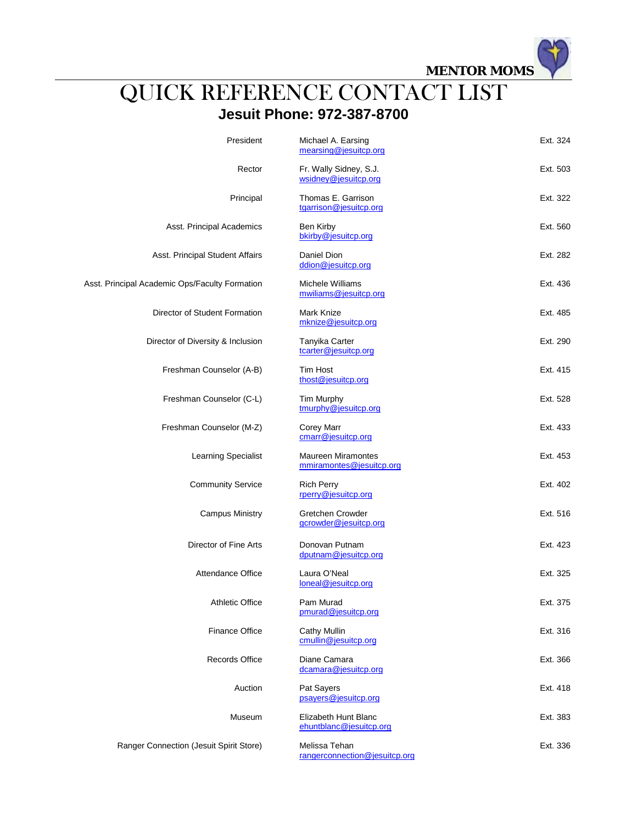**MENTOR MOMS**

## QUICK REFERENCE CONTACT LIST **Jesuit Phone: 972-387-8700**

| President                                      | Michael A. Earsing<br>mearsing@jesuitcp.org           | Ext. 324 |
|------------------------------------------------|-------------------------------------------------------|----------|
| Rector                                         | Fr. Wally Sidney, S.J.<br>wsidney@jesuitcp.org        | Ext. 503 |
| Principal                                      | Thomas E. Garrison<br>tgarrison@jesuitcp.org          | Ext. 322 |
| Asst. Principal Academics                      | Ben Kirby<br>bkirby@jesuitcp.org                      | Ext. 560 |
| Asst. Principal Student Affairs                | Daniel Dion<br>ddion@jesuitcp.org                     | Ext. 282 |
| Asst. Principal Academic Ops/Faculty Formation | Michele Williams<br>mwiliams@jesuitcp.org             | Ext. 436 |
| Director of Student Formation                  | Mark Knize<br>mknize@jesuitcp.org                     | Ext. 485 |
| Director of Diversity & Inclusion              | Tanyika Carter<br>tcarter@jesuitcp.org                | Ext. 290 |
| Freshman Counselor (A-B)                       | <b>Tim Host</b><br>thost@jesuitcp.org                 | Ext. 415 |
| Freshman Counselor (C-L)                       | Tim Murphy<br>tmurphy@jesuitcp.org                    | Ext. 528 |
| Freshman Counselor (M-Z)                       | Corey Marr<br>cmarr@jesuitcp.org                      | Ext. 433 |
| <b>Learning Specialist</b>                     | <b>Maureen Miramontes</b><br>mmiramontes@jesuitcp.org | Ext. 453 |
| <b>Community Service</b>                       | <b>Rich Perry</b><br>rperry@jesuitcp.org              | Ext. 402 |
| <b>Campus Ministry</b>                         | Gretchen Crowder<br>gcrowder@jesuitcp.org             | Ext. 516 |
| Director of Fine Arts                          | Donovan Putnam<br>dputnam@jesuitcp.org                | Ext. 423 |
| <b>Attendance Office</b>                       | Laura O'Neal<br>loneal@jesuitcp.org                   | Ext. 325 |
| <b>Athletic Office</b>                         | Pam Murad<br>pmurad@jesuitcp.org                      | Ext. 375 |
| <b>Finance Office</b>                          | Cathy Mullin<br>cmullin@jesuitcp.org                  | Ext. 316 |
| <b>Records Office</b>                          | Diane Camara<br>dcamara@jesuitcp.org                  | Ext. 366 |
| Auction                                        | Pat Sayers<br>psayers@jesuitcp.org                    | Ext. 418 |
| Museum                                         | Elizabeth Hunt Blanc<br>ehuntblanc@jesuitcp.org       | Ext. 383 |
| Ranger Connection (Jesuit Spirit Store)        | Melissa Tehan<br>rangerconnection@jesuitcp.org        | Ext. 336 |